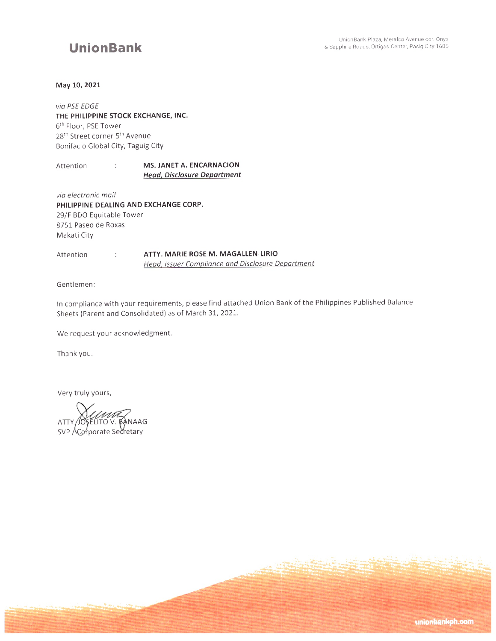## **UnionBank**

### May 10, 2021

## via PSE EDGE THE PHILIPPINE STOCK EXCHANGE, INC. 6<sup>th</sup> Floor, PSE Tower 28<sup>th</sup> Street corner 5<sup>th</sup> Avenue Bonifacio Global City, Taguig City

#### MS. JANET A. ENCARNACION Attention  $\pm$ **Head, Disclosure Department**

via electronic mail PHILIPPINE DEALING AND EXCHANGE CORP. 29/F BDO Equitable Tower 8751 Paseo de Roxas Makati City

#### ATTY. MARIE ROSE M. MAGALLEN-LIRIO Attention  $\ddot{\mathbb{C}}$ Head, Issuer Compliance and Disclosure Department

Gentlemen:

In compliance with your requirements, please find attached Union Bank of the Philippines Published Balance Sheets (Parent and Consolidated) as of March 31, 2021.

We request your acknowledgment.

Thank you.

Very truly yours,

**JOSELITO V. BANAAG** ATTY. SVP Corporate Secretary